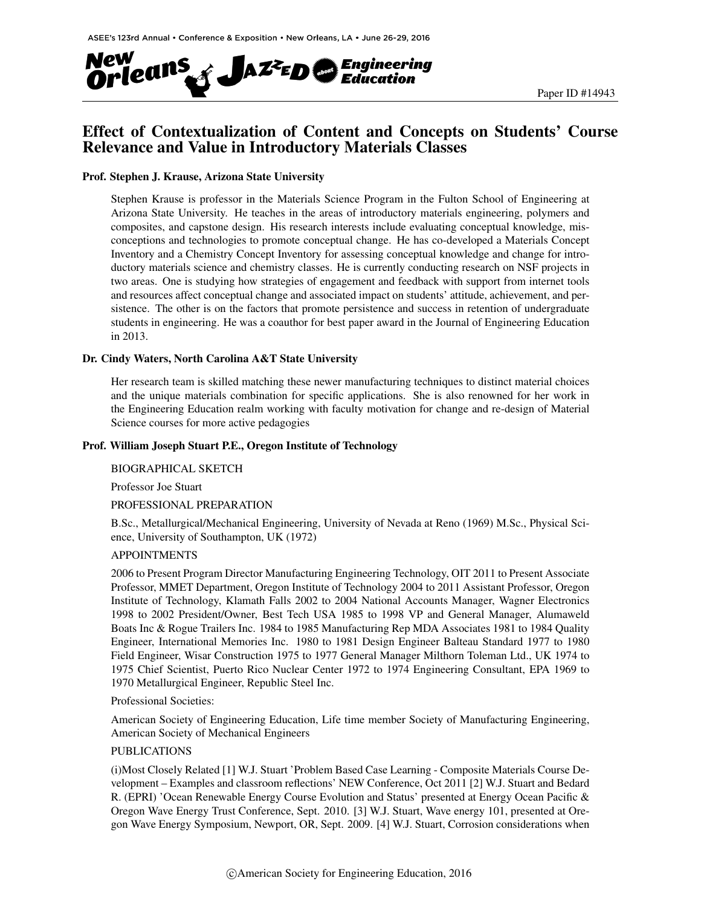

# Effect of Contextualization of Content and Concepts on Students' Course Relevance and Value in Introductory Materials Classes

### Prof. Stephen J. Krause, Arizona State University

Stephen Krause is professor in the Materials Science Program in the Fulton School of Engineering at Arizona State University. He teaches in the areas of introductory materials engineering, polymers and composites, and capstone design. His research interests include evaluating conceptual knowledge, misconceptions and technologies to promote conceptual change. He has co-developed a Materials Concept Inventory and a Chemistry Concept Inventory for assessing conceptual knowledge and change for introductory materials science and chemistry classes. He is currently conducting research on NSF projects in two areas. One is studying how strategies of engagement and feedback with support from internet tools and resources affect conceptual change and associated impact on students' attitude, achievement, and persistence. The other is on the factors that promote persistence and success in retention of undergraduate students in engineering. He was a coauthor for best paper award in the Journal of Engineering Education in 2013.

#### Dr. Cindy Waters, North Carolina A&T State University

Her research team is skilled matching these newer manufacturing techniques to distinct material choices and the unique materials combination for specific applications. She is also renowned for her work in the Engineering Education realm working with faculty motivation for change and re-design of Material Science courses for more active pedagogies

#### Prof. William Joseph Stuart P.E., Oregon Institute of Technology

BIOGRAPHICAL SKETCH

Professor Joe Stuart

PROFESSIONAL PREPARATION

B.Sc., Metallurgical/Mechanical Engineering, University of Nevada at Reno (1969) M.Sc., Physical Science, University of Southampton, UK (1972)

#### APPOINTMENTS

2006 to Present Program Director Manufacturing Engineering Technology, OIT 2011 to Present Associate Professor, MMET Department, Oregon Institute of Technology 2004 to 2011 Assistant Professor, Oregon Institute of Technology, Klamath Falls 2002 to 2004 National Accounts Manager, Wagner Electronics 1998 to 2002 President/Owner, Best Tech USA 1985 to 1998 VP and General Manager, Alumaweld Boats Inc & Rogue Trailers Inc. 1984 to 1985 Manufacturing Rep MDA Associates 1981 to 1984 Quality Engineer, International Memories Inc. 1980 to 1981 Design Engineer Balteau Standard 1977 to 1980 Field Engineer, Wisar Construction 1975 to 1977 General Manager Milthorn Toleman Ltd., UK 1974 to 1975 Chief Scientist, Puerto Rico Nuclear Center 1972 to 1974 Engineering Consultant, EPA 1969 to 1970 Metallurgical Engineer, Republic Steel Inc.

#### Professional Societies:

American Society of Engineering Education, Life time member Society of Manufacturing Engineering, American Society of Mechanical Engineers

#### PUBLICATIONS

(i)Most Closely Related [1] W.J. Stuart 'Problem Based Case Learning - Composite Materials Course Development – Examples and classroom reflections' NEW Conference, Oct 2011 [2] W.J. Stuart and Bedard R. (EPRI) 'Ocean Renewable Energy Course Evolution and Status' presented at Energy Ocean Pacific & Oregon Wave Energy Trust Conference, Sept. 2010. [3] W.J. Stuart, Wave energy 101, presented at Oregon Wave Energy Symposium, Newport, OR, Sept. 2009. [4] W.J. Stuart, Corrosion considerations when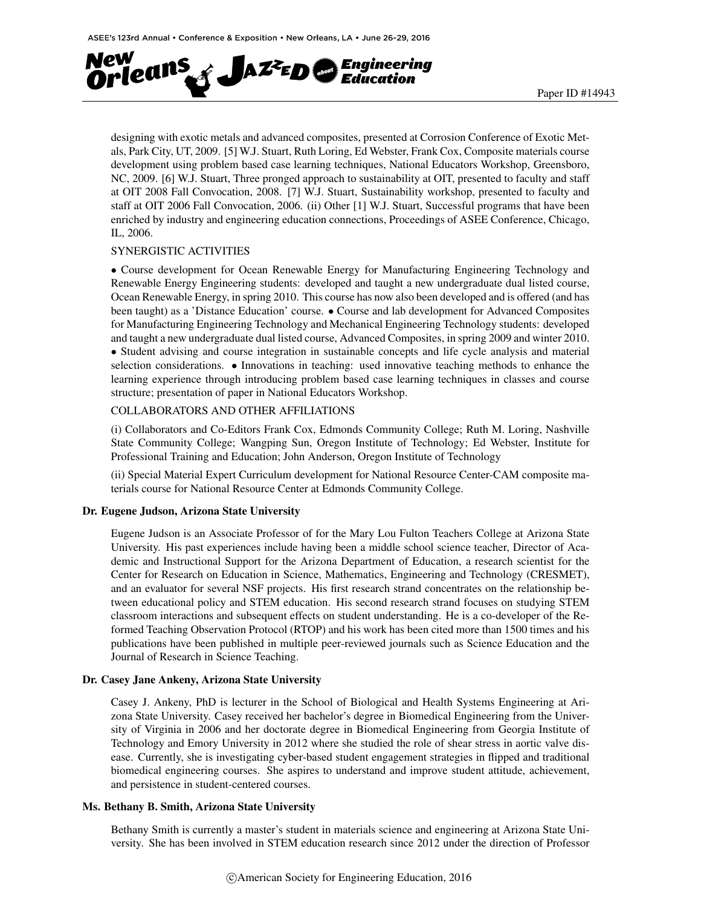

designing with exotic metals and advanced composites, presented at Corrosion Conference of Exotic Metals, Park City, UT, 2009. [5] W.J. Stuart, Ruth Loring, Ed Webster, Frank Cox, Composite materials course development using problem based case learning techniques, National Educators Workshop, Greensboro, NC, 2009. [6] W.J. Stuart, Three pronged approach to sustainability at OIT, presented to faculty and staff at OIT 2008 Fall Convocation, 2008. [7] W.J. Stuart, Sustainability workshop, presented to faculty and staff at OIT 2006 Fall Convocation, 2006. (ii) Other [1] W.J. Stuart, Successful programs that have been enriched by industry and engineering education connections, Proceedings of ASEE Conference, Chicago, IL, 2006.

#### SYNERGISTIC ACTIVITIES

• Course development for Ocean Renewable Energy for Manufacturing Engineering Technology and Renewable Energy Engineering students: developed and taught a new undergraduate dual listed course, Ocean Renewable Energy, in spring 2010. This course has now also been developed and is offered (and has been taught) as a 'Distance Education' course. • Course and lab development for Advanced Composites for Manufacturing Engineering Technology and Mechanical Engineering Technology students: developed and taught a new undergraduate dual listed course, Advanced Composites, in spring 2009 and winter 2010. • Student advising and course integration in sustainable concepts and life cycle analysis and material selection considerations. • Innovations in teaching: used innovative teaching methods to enhance the learning experience through introducing problem based case learning techniques in classes and course structure; presentation of paper in National Educators Workshop.

#### COLLABORATORS AND OTHER AFFILIATIONS

(i) Collaborators and Co-Editors Frank Cox, Edmonds Community College; Ruth M. Loring, Nashville State Community College; Wangping Sun, Oregon Institute of Technology; Ed Webster, Institute for Professional Training and Education; John Anderson, Oregon Institute of Technology

(ii) Special Material Expert Curriculum development for National Resource Center-CAM composite materials course for National Resource Center at Edmonds Community College.

#### Dr. Eugene Judson, Arizona State University

Eugene Judson is an Associate Professor of for the Mary Lou Fulton Teachers College at Arizona State University. His past experiences include having been a middle school science teacher, Director of Academic and Instructional Support for the Arizona Department of Education, a research scientist for the Center for Research on Education in Science, Mathematics, Engineering and Technology (CRESMET), and an evaluator for several NSF projects. His first research strand concentrates on the relationship between educational policy and STEM education. His second research strand focuses on studying STEM classroom interactions and subsequent effects on student understanding. He is a co-developer of the Reformed Teaching Observation Protocol (RTOP) and his work has been cited more than 1500 times and his publications have been published in multiple peer-reviewed journals such as Science Education and the Journal of Research in Science Teaching.

#### Dr. Casey Jane Ankeny, Arizona State University

Casey J. Ankeny, PhD is lecturer in the School of Biological and Health Systems Engineering at Arizona State University. Casey received her bachelor's degree in Biomedical Engineering from the University of Virginia in 2006 and her doctorate degree in Biomedical Engineering from Georgia Institute of Technology and Emory University in 2012 where she studied the role of shear stress in aortic valve disease. Currently, she is investigating cyber-based student engagement strategies in flipped and traditional biomedical engineering courses. She aspires to understand and improve student attitude, achievement, and persistence in student-centered courses.

#### Ms. Bethany B. Smith, Arizona State University

Bethany Smith is currently a master's student in materials science and engineering at Arizona State University. She has been involved in STEM education research since 2012 under the direction of Professor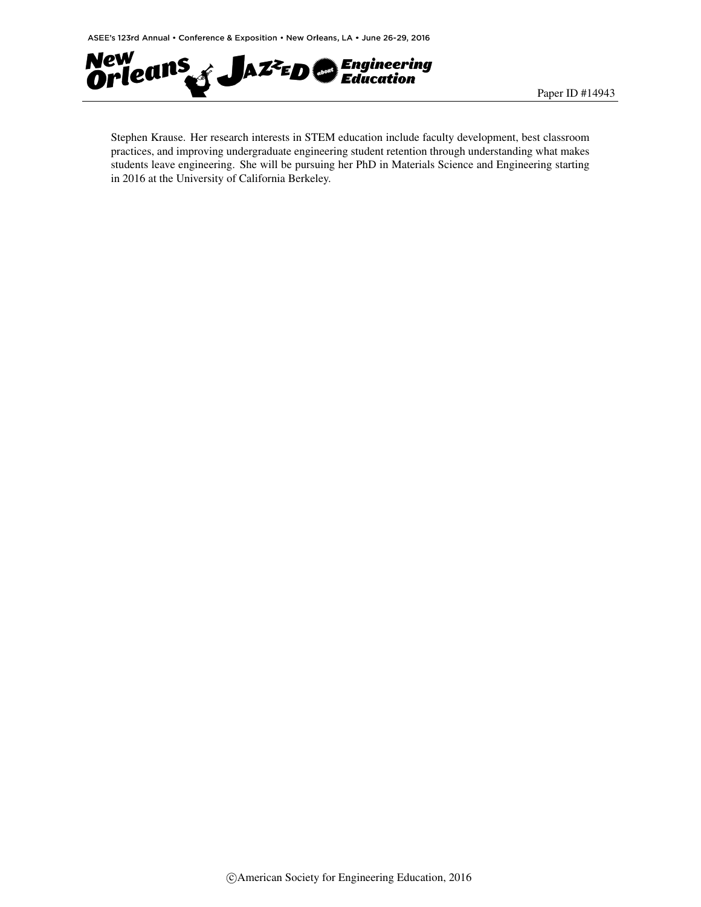

Stephen Krause. Her research interests in STEM education include faculty development, best classroom practices, and improving undergraduate engineering student retention through understanding what makes students leave engineering. She will be pursuing her PhD in Materials Science and Engineering starting in 2016 at the University of California Berkeley.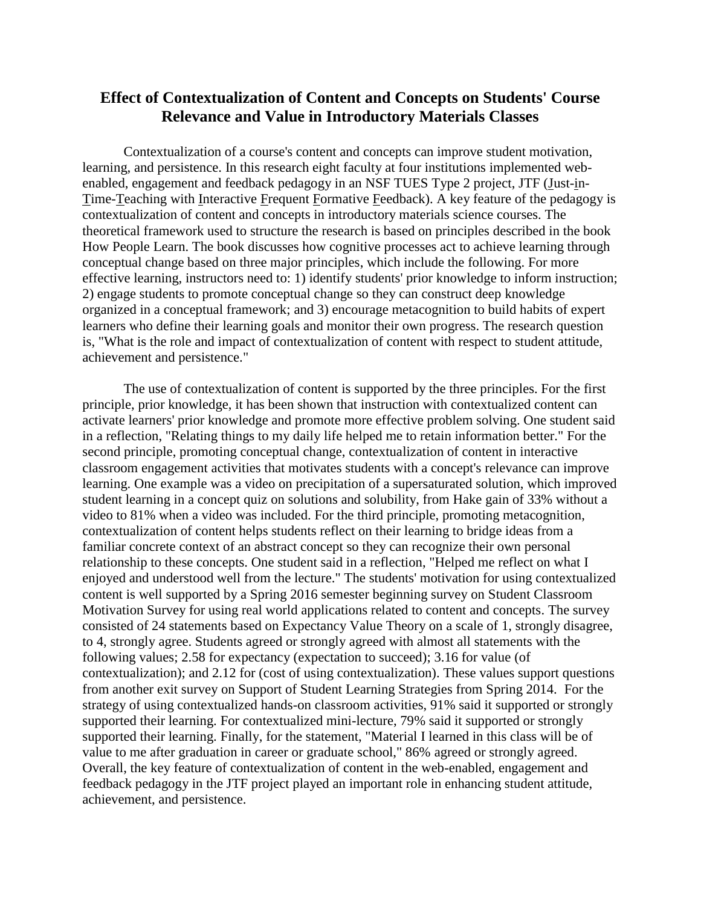# **Effect of Contextualization of Content and Concepts on Students' Course Relevance and Value in Introductory Materials Classes**

Contextualization of a course's content and concepts can improve student motivation, learning, and persistence. In this research eight faculty at four institutions implemented webenabled, engagement and feedback pedagogy in an NSF TUES Type 2 project, JTF (Just-in-Time-Teaching with Interactive Frequent Formative Feedback). A key feature of the pedagogy is contextualization of content and concepts in introductory materials science courses. The theoretical framework used to structure the research is based on principles described in the book How People Learn. The book discusses how cognitive processes act to achieve learning through conceptual change based on three major principles, which include the following. For more effective learning, instructors need to: 1) identify students' prior knowledge to inform instruction; 2) engage students to promote conceptual change so they can construct deep knowledge organized in a conceptual framework; and 3) encourage metacognition to build habits of expert learners who define their learning goals and monitor their own progress. The research question is, "What is the role and impact of contextualization of content with respect to student attitude, achievement and persistence."

The use of contextualization of content is supported by the three principles. For the first principle, prior knowledge, it has been shown that instruction with contextualized content can activate learners' prior knowledge and promote more effective problem solving. One student said in a reflection, "Relating things to my daily life helped me to retain information better." For the second principle, promoting conceptual change, contextualization of content in interactive classroom engagement activities that motivates students with a concept's relevance can improve learning. One example was a video on precipitation of a supersaturated solution, which improved student learning in a concept quiz on solutions and solubility, from Hake gain of 33% without a video to 81% when a video was included. For the third principle, promoting metacognition, contextualization of content helps students reflect on their learning to bridge ideas from a familiar concrete context of an abstract concept so they can recognize their own personal relationship to these concepts. One student said in a reflection, "Helped me reflect on what I enjoyed and understood well from the lecture." The students' motivation for using contextualized content is well supported by a Spring 2016 semester beginning survey on Student Classroom Motivation Survey for using real world applications related to content and concepts. The survey consisted of 24 statements based on Expectancy Value Theory on a scale of 1, strongly disagree, to 4, strongly agree. Students agreed or strongly agreed with almost all statements with the following values; 2.58 for expectancy (expectation to succeed); 3.16 for value (of contextualization); and 2.12 for (cost of using contextualization). These values support questions from another exit survey on Support of Student Learning Strategies from Spring 2014. For the strategy of using contextualized hands-on classroom activities, 91% said it supported or strongly supported their learning. For contextualized mini-lecture, 79% said it supported or strongly supported their learning. Finally, for the statement, "Material I learned in this class will be of value to me after graduation in career or graduate school," 86% agreed or strongly agreed. Overall, the key feature of contextualization of content in the web-enabled, engagement and feedback pedagogy in the JTF project played an important role in enhancing student attitude, achievement, and persistence.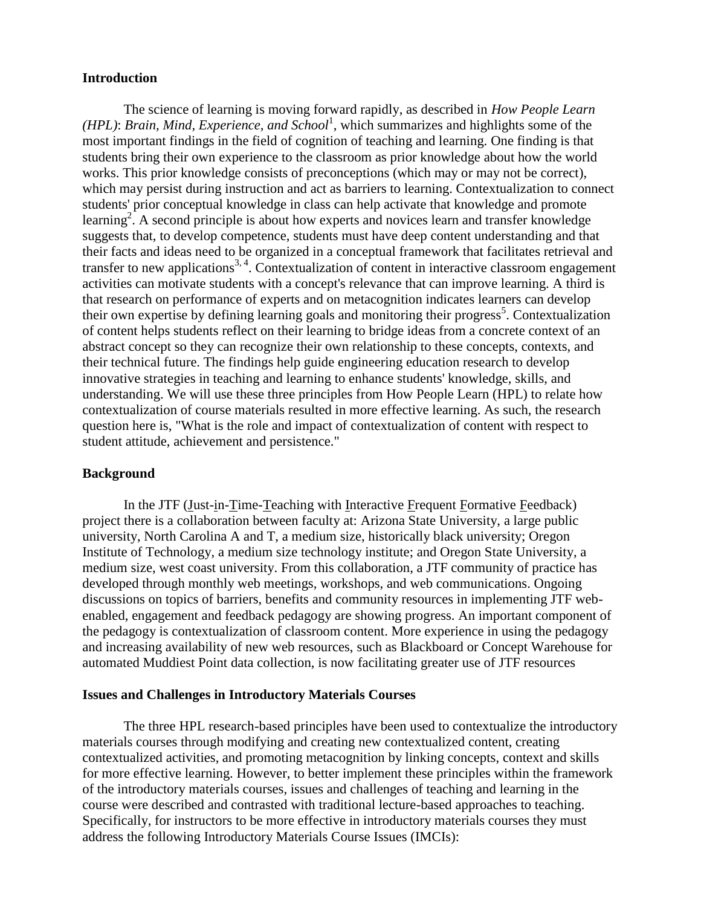## **Introduction**

The science of learning is moving forward rapidly, as described in *How People Learn* (*HPL*): *Brain, Mind, Experience, and School*<sup>1</sup>, which summarizes and highlights some of the most important findings in the field of cognition of teaching and learning. One finding is that students bring their own experience to the classroom as prior knowledge about how the world works. This prior knowledge consists of preconceptions (which may or may not be correct), which may persist during instruction and act as barriers to learning. Contextualization to connect students' prior conceptual knowledge in class can help activate that knowledge and promote learning<sup>2</sup>. A second principle is about how experts and novices learn and transfer knowledge suggests that, to develop competence, students must have deep content understanding and that their facts and ideas need to be organized in a conceptual framework that facilitates retrieval and transfer to new applications<sup>3, 4</sup>. Contextualization of content in interactive classroom engagement activities can motivate students with a concept's relevance that can improve learning. A third is that research on performance of experts and on metacognition indicates learners can develop their own expertise by defining learning goals and monitoring their progress<sup>5</sup>. Contextualization of content helps students reflect on their learning to bridge ideas from a concrete context of an abstract concept so they can recognize their own relationship to these concepts, contexts, and their technical future. The findings help guide engineering education research to develop innovative strategies in teaching and learning to enhance students' knowledge, skills, and understanding. We will use these three principles from How People Learn (HPL) to relate how contextualization of course materials resulted in more effective learning. As such, the research question here is, "What is the role and impact of contextualization of content with respect to student attitude, achievement and persistence."

## **Background**

In the JTF (Just-in-Time-Teaching with Interactive Frequent Formative Feedback) project there is a collaboration between faculty at: Arizona State University, a large public university, North Carolina A and T, a medium size, historically black university; Oregon Institute of Technology, a medium size technology institute; and Oregon State University, a medium size, west coast university. From this collaboration, a JTF community of practice has developed through monthly web meetings, workshops, and web communications. Ongoing discussions on topics of barriers, benefits and community resources in implementing JTF webenabled, engagement and feedback pedagogy are showing progress. An important component of the pedagogy is contextualization of classroom content. More experience in using the pedagogy and increasing availability of new web resources, such as Blackboard or Concept Warehouse for automated Muddiest Point data collection, is now facilitating greater use of JTF resources

### **Issues and Challenges in Introductory Materials Courses**

The three HPL research-based principles have been used to contextualize the introductory materials courses through modifying and creating new contextualized content, creating contextualized activities, and promoting metacognition by linking concepts, context and skills for more effective learning. However, to better implement these principles within the framework of the introductory materials courses, issues and challenges of teaching and learning in the course were described and contrasted with traditional lecture-based approaches to teaching. Specifically, for instructors to be more effective in introductory materials courses they must address the following Introductory Materials Course Issues (IMCIs):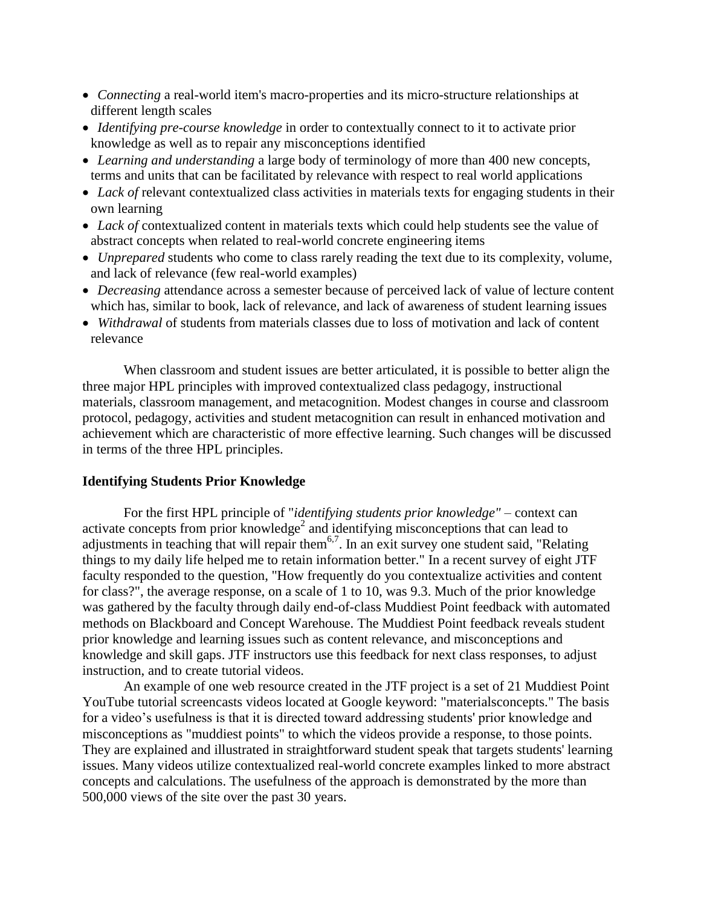- *Connecting* a real-world item's macro-properties and its micro-structure relationships at different length scales
- *Identifying pre-course knowledge* in order to contextually connect to it to activate prior knowledge as well as to repair any misconceptions identified
- *Learning and understanding* a large body of terminology of more than 400 new concepts, terms and units that can be facilitated by relevance with respect to real world applications
- *Lack of* relevant contextualized class activities in materials texts for engaging students in their own learning
- *Lack of* contextualized content in materials texts which could help students see the value of abstract concepts when related to real-world concrete engineering items
- *Unprepared* students who come to class rarely reading the text due to its complexity, volume, and lack of relevance (few real-world examples)
- *Decreasing* attendance across a semester because of perceived lack of value of lecture content which has, similar to book, lack of relevance, and lack of awareness of student learning issues
- *Withdrawal* of students from materials classes due to loss of motivation and lack of content relevance

When classroom and student issues are better articulated, it is possible to better align the three major HPL principles with improved contextualized class pedagogy, instructional materials, classroom management, and metacognition. Modest changes in course and classroom protocol, pedagogy, activities and student metacognition can result in enhanced motivation and achievement which are characteristic of more effective learning. Such changes will be discussed in terms of the three HPL principles.

## **Identifying Students Prior Knowledge**

For the first HPL principle of "*identifying students prior knowledge"* – context can activate concepts from prior knowledge<sup>2</sup> and identifying misconceptions that can lead to adjustments in teaching that will repair them<sup>6,7</sup>. In an exit survey one student said, "Relating things to my daily life helped me to retain information better." In a recent survey of eight JTF faculty responded to the question, "How frequently do you contextualize activities and content for class?", the average response, on a scale of 1 to 10, was 9.3. Much of the prior knowledge was gathered by the faculty through daily end-of-class Muddiest Point feedback with automated methods on Blackboard and Concept Warehouse. The Muddiest Point feedback reveals student prior knowledge and learning issues such as content relevance, and misconceptions and knowledge and skill gaps. JTF instructors use this feedback for next class responses, to adjust instruction, and to create tutorial videos.

An example of one web resource created in the JTF project is a set of 21 Muddiest Point YouTube tutorial screencasts videos located at Google keyword: "materialsconcepts." The basis for a video's usefulness is that it is directed toward addressing students' prior knowledge and misconceptions as "muddiest points" to which the videos provide a response, to those points. They are explained and illustrated in straightforward student speak that targets students' learning issues. Many videos utilize contextualized real-world concrete examples linked to more abstract concepts and calculations. The usefulness of the approach is demonstrated by the more than 500,000 views of the site over the past 30 years.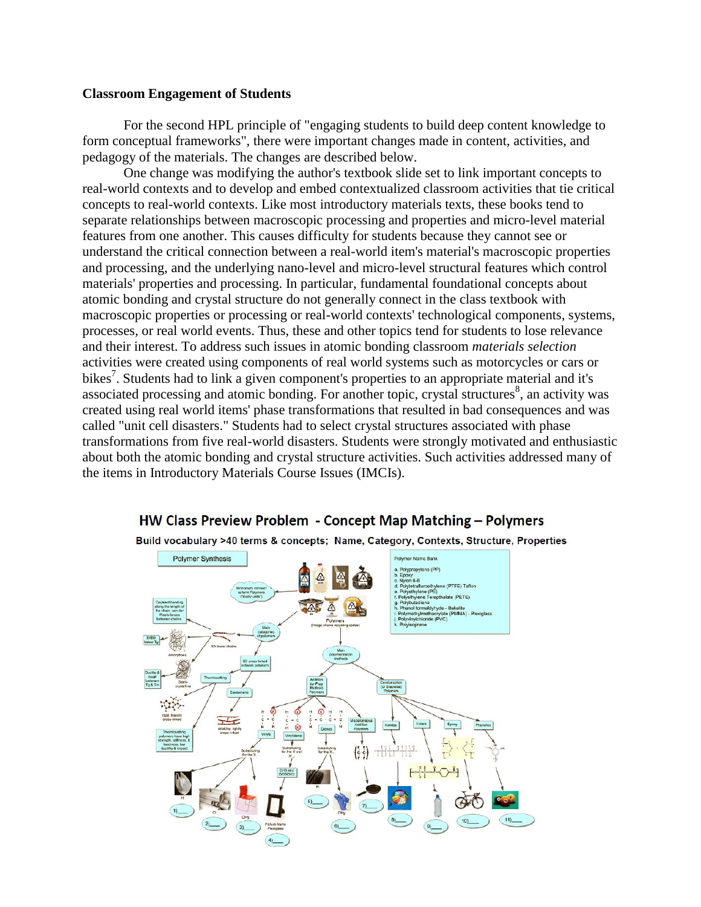## **Classroom Engagement of Students**

For the second HPL principle of "engaging students to build deep content knowledge to form conceptual frameworks", there were important changes made in content, activities, and pedagogy of the materials. The changes are described below.

One change was modifying the author's textbook slide set to link important concepts to real-world contexts and to develop and embed contextualized classroom activities that tie critical concepts to real-world contexts. Like most introductory materials texts, these books tend to separate relationships between macroscopic processing and properties and micro-level material features from one another. This causes difficulty for students because they cannot see or understand the critical connection between a real-world item's material's macroscopic properties and processing, and the underlying nano-level and micro-level structural features which control materials' properties and processing. In particular, fundamental foundational concepts about atomic bonding and crystal structure do not generally connect in the class textbook with macroscopic properties or processing or real-world contexts' technological components, systems, processes, or real world events. Thus, these and other topics tend for students to lose relevance and their interest. To address such issues in atomic bonding classroom *materials selection* activities were created using components of real world systems such as motorcycles or cars or bikes<sup>7</sup>. Students had to link a given component's properties to an appropriate material and it's associated processing and atomic bonding. For another topic, crystal structures<sup>8</sup>, an activity was created using real world items' phase transformations that resulted in bad consequences and was called "unit cell disasters." Students had to select crystal structures associated with phase transformations from five real-world disasters. Students were strongly motivated and enthusiastic about both the atomic bonding and crystal structure activities. Such activities addressed many of the items in Introductory Materials Course Issues (IMCIs).



# HW Class Preview Problem - Concept Map Matching - Polymers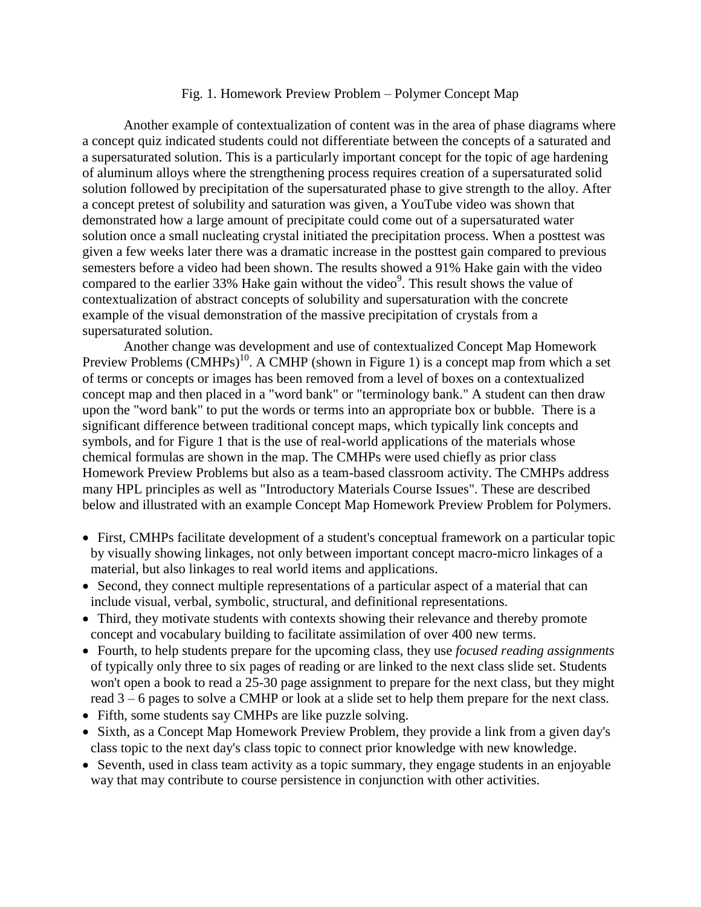## Fig. 1. Homework Preview Problem – Polymer Concept Map

Another example of contextualization of content was in the area of phase diagrams where a concept quiz indicated students could not differentiate between the concepts of a saturated and a supersaturated solution. This is a particularly important concept for the topic of age hardening of aluminum alloys where the strengthening process requires creation of a supersaturated solid solution followed by precipitation of the supersaturated phase to give strength to the alloy. After a concept pretest of solubility and saturation was given, a YouTube video was shown that demonstrated how a large amount of precipitate could come out of a supersaturated water solution once a small nucleating crystal initiated the precipitation process. When a posttest was given a few weeks later there was a dramatic increase in the posttest gain compared to previous semesters before a video had been shown. The results showed a 91% Hake gain with the video compared to the earlier 33% Hake gain without the video $\degree$ . This result shows the value of contextualization of abstract concepts of solubility and supersaturation with the concrete example of the visual demonstration of the massive precipitation of crystals from a supersaturated solution.

Another change was development and use of contextualized Concept Map Homework Preview Problems  $(CMHPs)^{10}$ . A CMHP (shown in Figure 1) is a concept map from which a set of terms or concepts or images has been removed from a level of boxes on a contextualized concept map and then placed in a "word bank" or "terminology bank." A student can then draw upon the "word bank" to put the words or terms into an appropriate box or bubble. There is a significant difference between traditional concept maps, which typically link concepts and symbols, and for Figure 1 that is the use of real-world applications of the materials whose chemical formulas are shown in the map. The CMHPs were used chiefly as prior class Homework Preview Problems but also as a team-based classroom activity. The CMHPs address many HPL principles as well as "Introductory Materials Course Issues". These are described below and illustrated with an example Concept Map Homework Preview Problem for Polymers.

- First, CMHPs facilitate development of a student's conceptual framework on a particular topic by visually showing linkages, not only between important concept macro-micro linkages of a material, but also linkages to real world items and applications.
- Second, they connect multiple representations of a particular aspect of a material that can include visual, verbal, symbolic, structural, and definitional representations.
- Third, they motivate students with contexts showing their relevance and thereby promote concept and vocabulary building to facilitate assimilation of over 400 new terms.
- Fourth, to help students prepare for the upcoming class, they use *focused reading assignments* of typically only three to six pages of reading or are linked to the next class slide set. Students won't open a book to read a 25-30 page assignment to prepare for the next class, but they might read 3 – 6 pages to solve a CMHP or look at a slide set to help them prepare for the next class.
- Fifth, some students say CMHPs are like puzzle solving.
- Sixth, as a Concept Map Homework Preview Problem, they provide a link from a given day's class topic to the next day's class topic to connect prior knowledge with new knowledge.
- Seventh, used in class team activity as a topic summary, they engage students in an enjoyable way that may contribute to course persistence in conjunction with other activities.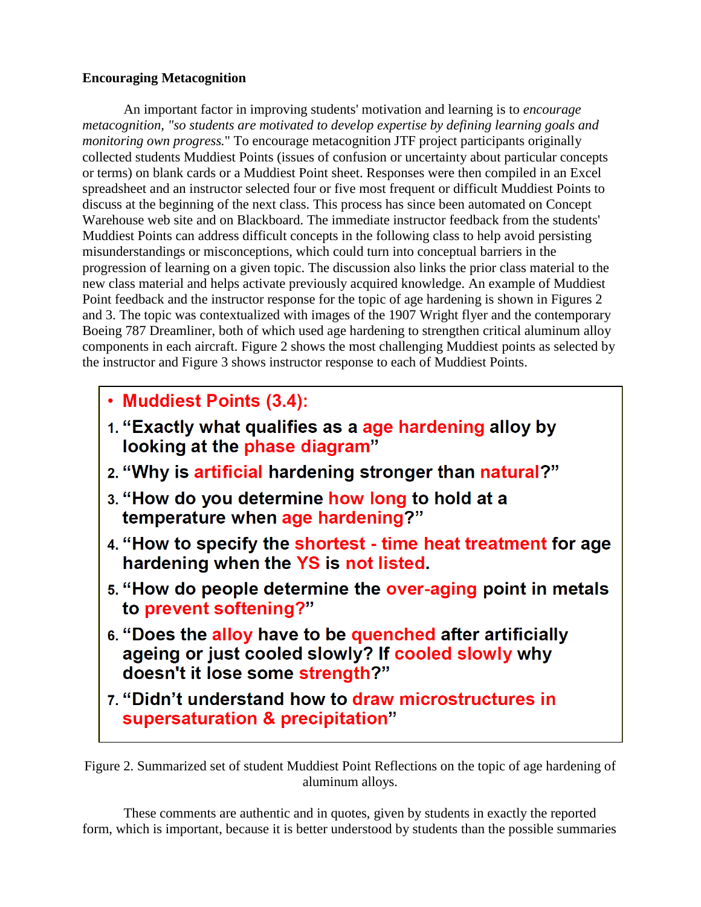# **Encouraging Metacognition**

An important factor in improving students' motivation and learning is to *encourage metacognition, "so students are motivated to develop expertise by defining learning goals and monitoring own progress.*" To encourage metacognition JTF project participants originally collected students Muddiest Points (issues of confusion or uncertainty about particular concepts or terms) on blank cards or a Muddiest Point sheet. Responses were then compiled in an Excel spreadsheet and an instructor selected four or five most frequent or difficult Muddiest Points to discuss at the beginning of the next class. This process has since been automated on Concept Warehouse web site and on Blackboard. The immediate instructor feedback from the students' Muddiest Points can address difficult concepts in the following class to help avoid persisting misunderstandings or misconceptions, which could turn into conceptual barriers in the progression of learning on a given topic. The discussion also links the prior class material to the new class material and helps activate previously acquired knowledge. An example of Muddiest Point feedback and the instructor response for the topic of age hardening is shown in Figures 2 and 3. The topic was contextualized with images of the 1907 Wright flyer and the contemporary Boeing 787 Dreamliner, both of which used age hardening to strengthen critical aluminum alloy components in each aircraft. Figure 2 shows the most challenging Muddiest points as selected by the instructor and Figure 3 shows instructor response to each of Muddiest Points.

- Muddiest Points (3.4):
- 1. "Exactly what qualifies as a age hardening alloy by looking at the phase diagram"
- 2. "Why is artificial hardening stronger than natural?"
- 3. "How do you determine how long to hold at a temperature when age hardening?"
- 4. "How to specify the shortest time heat treatment for age hardening when the YS is not listed.
- 5. "How do people determine the over-aging point in metals to prevent softening?"
- 6. "Does the alloy have to be quenched after artificially ageing or just cooled slowly? If cooled slowly why doesn't it lose some strength?"
- 7. "Didn't understand how to draw microstructures in supersaturation & precipitation"

Figure 2. Summarized set of student Muddiest Point Reflections on the topic of age hardening of aluminum alloys.

These comments are authentic and in quotes, given by students in exactly the reported form, which is important, because it is better understood by students than the possible summaries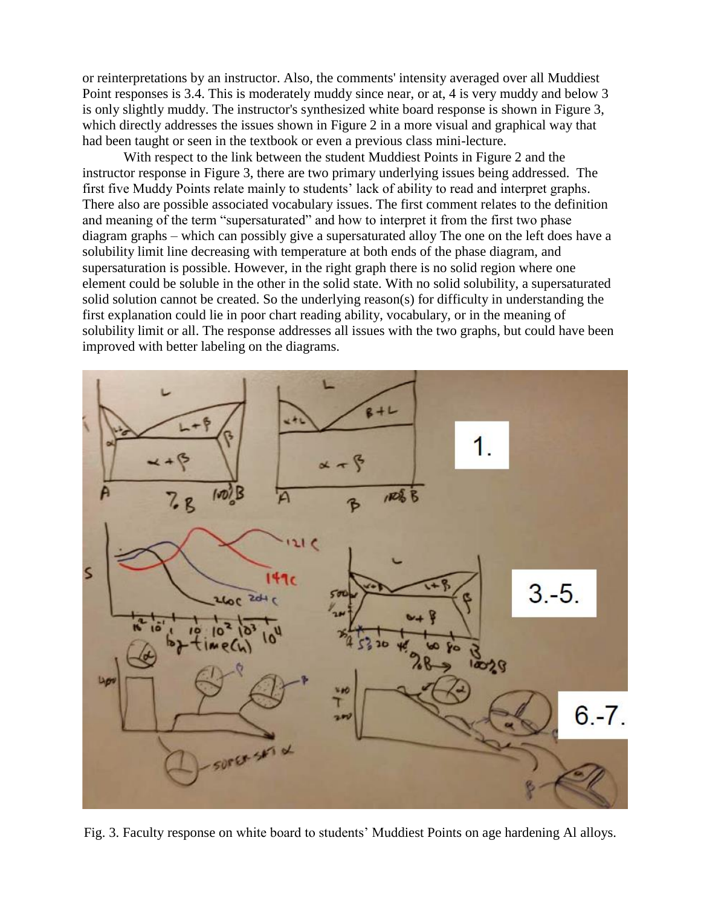or reinterpretations by an instructor. Also, the comments' intensity averaged over all Muddiest Point responses is 3.4. This is moderately muddy since near, or at, 4 is very muddy and below 3 is only slightly muddy. The instructor's synthesized white board response is shown in Figure 3, which directly addresses the issues shown in Figure 2 in a more visual and graphical way that had been taught or seen in the textbook or even a previous class mini-lecture.

With respect to the link between the student Muddiest Points in Figure 2 and the instructor response in Figure 3, there are two primary underlying issues being addressed. The first five Muddy Points relate mainly to students' lack of ability to read and interpret graphs. There also are possible associated vocabulary issues. The first comment relates to the definition and meaning of the term "supersaturated" and how to interpret it from the first two phase diagram graphs – which can possibly give a supersaturated alloy The one on the left does have a solubility limit line decreasing with temperature at both ends of the phase diagram, and supersaturation is possible. However, in the right graph there is no solid region where one element could be soluble in the other in the solid state. With no solid solubility, a supersaturated solid solution cannot be created. So the underlying reason(s) for difficulty in understanding the first explanation could lie in poor chart reading ability, vocabulary, or in the meaning of solubility limit or all. The response addresses all issues with the two graphs, but could have been improved with better labeling on the diagrams.



Fig. 3. Faculty response on white board to students' Muddiest Points on age hardening Al alloys.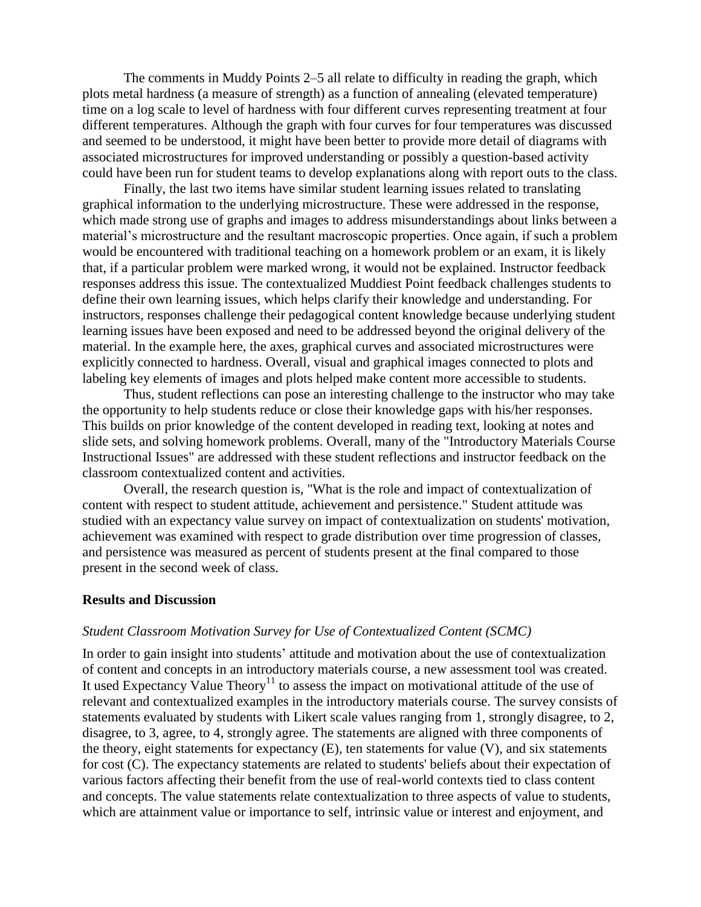The comments in Muddy Points 2–5 all relate to difficulty in reading the graph, which plots metal hardness (a measure of strength) as a function of annealing (elevated temperature) time on a log scale to level of hardness with four different curves representing treatment at four different temperatures. Although the graph with four curves for four temperatures was discussed and seemed to be understood, it might have been better to provide more detail of diagrams with associated microstructures for improved understanding or possibly a question-based activity could have been run for student teams to develop explanations along with report outs to the class.

Finally, the last two items have similar student learning issues related to translating graphical information to the underlying microstructure. These were addressed in the response, which made strong use of graphs and images to address misunderstandings about links between a material's microstructure and the resultant macroscopic properties. Once again, if such a problem would be encountered with traditional teaching on a homework problem or an exam, it is likely that, if a particular problem were marked wrong, it would not be explained. Instructor feedback responses address this issue. The contextualized Muddiest Point feedback challenges students to define their own learning issues, which helps clarify their knowledge and understanding. For instructors, responses challenge their pedagogical content knowledge because underlying student learning issues have been exposed and need to be addressed beyond the original delivery of the material. In the example here, the axes, graphical curves and associated microstructures were explicitly connected to hardness. Overall, visual and graphical images connected to plots and labeling key elements of images and plots helped make content more accessible to students.

Thus, student reflections can pose an interesting challenge to the instructor who may take the opportunity to help students reduce or close their knowledge gaps with his/her responses. This builds on prior knowledge of the content developed in reading text, looking at notes and slide sets, and solving homework problems. Overall, many of the "Introductory Materials Course Instructional Issues" are addressed with these student reflections and instructor feedback on the classroom contextualized content and activities.

Overall, the research question is, "What is the role and impact of contextualization of content with respect to student attitude, achievement and persistence." Student attitude was studied with an expectancy value survey on impact of contextualization on students' motivation, achievement was examined with respect to grade distribution over time progression of classes, and persistence was measured as percent of students present at the final compared to those present in the second week of class.

# **Results and Discussion**

## *Student Classroom Motivation Survey for Use of Contextualized Content (SCMC)*

In order to gain insight into students' attitude and motivation about the use of contextualization of content and concepts in an introductory materials course, a new assessment tool was created. It used Expectancy Value Theory<sup>11</sup> to assess the impact on motivational attitude of the use of relevant and contextualized examples in the introductory materials course. The survey consists of statements evaluated by students with Likert scale values ranging from 1, strongly disagree, to 2, disagree, to 3, agree, to 4, strongly agree. The statements are aligned with three components of the theory, eight statements for expectancy (E), ten statements for value (V), and six statements for cost (C). The expectancy statements are related to students' beliefs about their expectation of various factors affecting their benefit from the use of real-world contexts tied to class content and concepts. The value statements relate contextualization to three aspects of value to students, which are attainment value or importance to self, intrinsic value or interest and enjoyment, and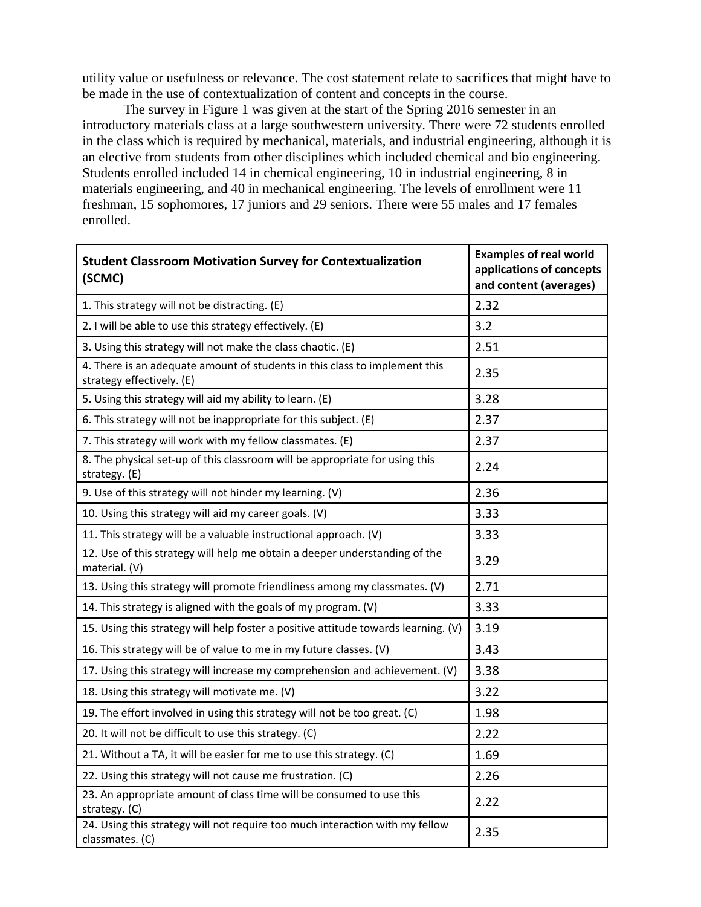utility value or usefulness or relevance. The cost statement relate to sacrifices that might have to be made in the use of contextualization of content and concepts in the course.

The survey in Figure 1 was given at the start of the Spring 2016 semester in an introductory materials class at a large southwestern university. There were 72 students enrolled in the class which is required by mechanical, materials, and industrial engineering, although it is an elective from students from other disciplines which included chemical and bio engineering. Students enrolled included 14 in chemical engineering, 10 in industrial engineering, 8 in materials engineering, and 40 in mechanical engineering. The levels of enrollment were 11 freshman, 15 sophomores, 17 juniors and 29 seniors. There were 55 males and 17 females enrolled.

| <b>Student Classroom Motivation Survey for Contextualization</b><br>(SCMC)                              | <b>Examples of real world</b><br>applications of concepts<br>and content (averages) |
|---------------------------------------------------------------------------------------------------------|-------------------------------------------------------------------------------------|
| 1. This strategy will not be distracting. (E)                                                           | 2.32                                                                                |
| 2. I will be able to use this strategy effectively. (E)                                                 | 3.2                                                                                 |
| 3. Using this strategy will not make the class chaotic. (E)                                             | 2.51                                                                                |
| 4. There is an adequate amount of students in this class to implement this<br>strategy effectively. (E) | 2.35                                                                                |
| 5. Using this strategy will aid my ability to learn. (E)                                                | 3.28                                                                                |
| 6. This strategy will not be inappropriate for this subject. (E)                                        | 2.37                                                                                |
| 7. This strategy will work with my fellow classmates. (E)                                               | 2.37                                                                                |
| 8. The physical set-up of this classroom will be appropriate for using this<br>strategy. (E)            | 2.24                                                                                |
| 9. Use of this strategy will not hinder my learning. (V)                                                | 2.36                                                                                |
| 10. Using this strategy will aid my career goals. (V)                                                   | 3.33                                                                                |
| 11. This strategy will be a valuable instructional approach. (V)                                        | 3.33                                                                                |
| 12. Use of this strategy will help me obtain a deeper understanding of the<br>material. (V)             | 3.29                                                                                |
| 13. Using this strategy will promote friendliness among my classmates. (V)                              | 2.71                                                                                |
| 14. This strategy is aligned with the goals of my program. (V)                                          | 3.33                                                                                |
| 15. Using this strategy will help foster a positive attitude towards learning. (V)                      | 3.19                                                                                |
| 16. This strategy will be of value to me in my future classes. (V)                                      | 3.43                                                                                |
| 17. Using this strategy will increase my comprehension and achievement. (V)                             | 3.38                                                                                |
| 18. Using this strategy will motivate me. (V)                                                           | 3.22                                                                                |
| 19. The effort involved in using this strategy will not be too great. (C)                               | 1.98                                                                                |
| 20. It will not be difficult to use this strategy. (C)                                                  | 2.22                                                                                |
| 21. Without a TA, it will be easier for me to use this strategy. (C)                                    | 1.69                                                                                |
| 22. Using this strategy will not cause me frustration. (C)                                              | 2.26                                                                                |
| 23. An appropriate amount of class time will be consumed to use this<br>strategy. (C)                   | 2.22                                                                                |
| 24. Using this strategy will not require too much interaction with my fellow<br>classmates. (C)         | 2.35                                                                                |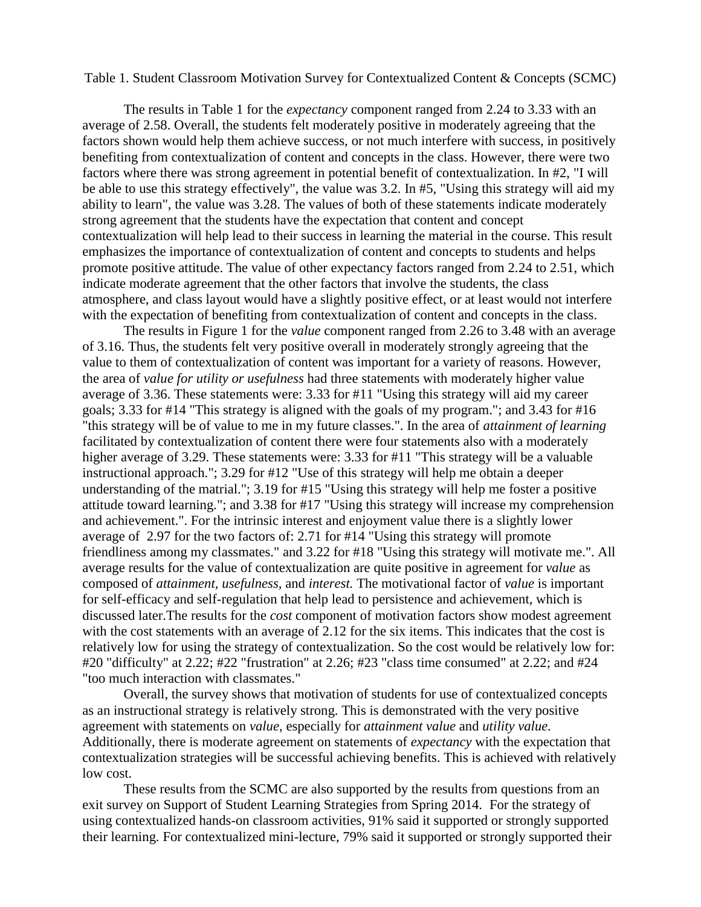# Table 1. Student Classroom Motivation Survey for Contextualized Content & Concepts (SCMC)

The results in Table 1 for the *expectancy* component ranged from 2.24 to 3.33 with an average of 2.58. Overall, the students felt moderately positive in moderately agreeing that the factors shown would help them achieve success, or not much interfere with success, in positively benefiting from contextualization of content and concepts in the class. However, there were two factors where there was strong agreement in potential benefit of contextualization. In #2, "I will be able to use this strategy effectively", the value was 3.2. In #5, "Using this strategy will aid my ability to learn", the value was 3.28. The values of both of these statements indicate moderately strong agreement that the students have the expectation that content and concept contextualization will help lead to their success in learning the material in the course. This result emphasizes the importance of contextualization of content and concepts to students and helps promote positive attitude. The value of other expectancy factors ranged from 2.24 to 2.51, which indicate moderate agreement that the other factors that involve the students, the class atmosphere, and class layout would have a slightly positive effect, or at least would not interfere with the expectation of benefiting from contextualization of content and concepts in the class.

The results in Figure 1 for the *value* component ranged from 2.26 to 3.48 with an average of 3.16. Thus, the students felt very positive overall in moderately strongly agreeing that the value to them of contextualization of content was important for a variety of reasons. However, the area of *value for utility or usefulness* had three statements with moderately higher value average of 3.36. These statements were: 3.33 for #11 "Using this strategy will aid my career goals; 3.33 for #14 "This strategy is aligned with the goals of my program."; and 3.43 for #16 "this strategy will be of value to me in my future classes.". In the area of *attainment of learning* facilitated by contextualization of content there were four statements also with a moderately higher average of 3.29. These statements were: 3.33 for #11 "This strategy will be a valuable instructional approach."; 3.29 for #12 "Use of this strategy will help me obtain a deeper understanding of the matrial."; 3.19 for #15 "Using this strategy will help me foster a positive attitude toward learning."; and 3.38 for #17 "Using this strategy will increase my comprehension and achievement.". For the intrinsic interest and enjoyment value there is a slightly lower average of 2.97 for the two factors of: 2.71 for #14 "Using this strategy will promote friendliness among my classmates." and 3.22 for #18 "Using this strategy will motivate me.". All average results for the value of contextualization are quite positive in agreement for *value* as composed of *attainment, usefulness,* and *interest.* The motivational factor of *value* is important for self-efficacy and self-regulation that help lead to persistence and achievement, which is discussed later.The results for the *cost* component of motivation factors show modest agreement with the cost statements with an average of 2.12 for the six items. This indicates that the cost is relatively low for using the strategy of contextualization. So the cost would be relatively low for: #20 "difficulty" at 2.22; #22 "frustration" at 2.26; #23 "class time consumed" at 2.22; and #24 "too much interaction with classmates."

Overall, the survey shows that motivation of students for use of contextualized concepts as an instructional strategy is relatively strong. This is demonstrated with the very positive agreement with statements on *value*, especially for *attainment value* and *utility value.*  Additionally, there is moderate agreement on statements of *expectancy* with the expectation that contextualization strategies will be successful achieving benefits. This is achieved with relatively low cost.

These results from the SCMC are also supported by the results from questions from an exit survey on Support of Student Learning Strategies from Spring 2014. For the strategy of using contextualized hands-on classroom activities, 91% said it supported or strongly supported their learning. For contextualized mini-lecture, 79% said it supported or strongly supported their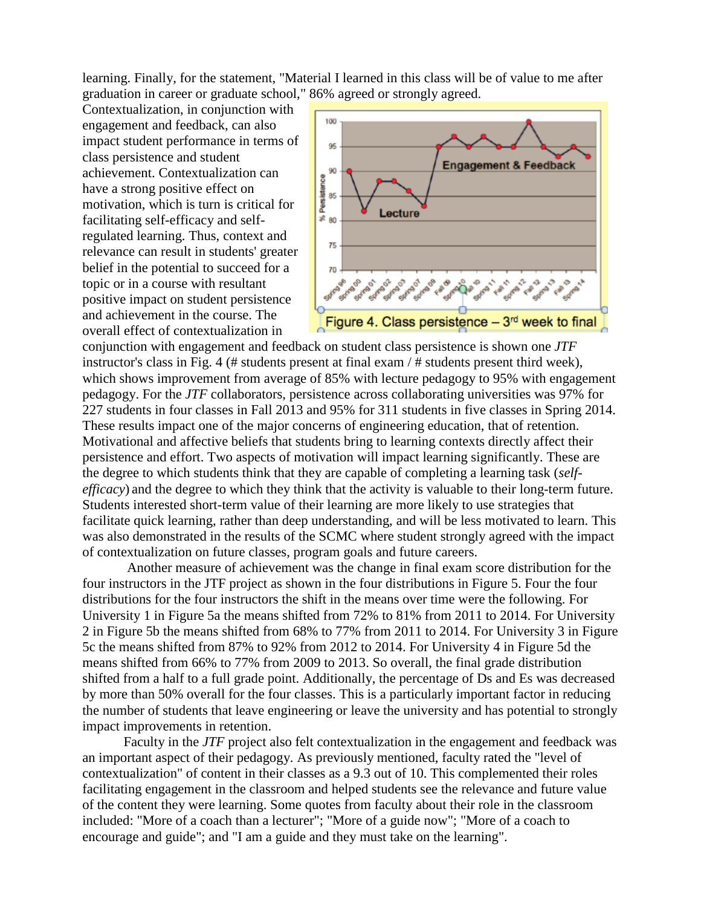learning. Finally, for the statement, "Material I learned in this class will be of value to me after graduation in career or graduate school," 86% agreed or strongly agreed.

Contextualization, in conjunction with engagement and feedback, can also impact student performance in terms of class persistence and student achievement. Contextualization can have a strong positive effect on motivation, which is turn is critical for facilitating self-efficacy and selfregulated learning. Thus, context and relevance can result in students' greater belief in the potential to succeed for a topic or in a course with resultant positive impact on student persistence and achievement in the course. The overall effect of contextualization in



conjunction with engagement and feedback on student class persistence is shown one *JTF* instructor's class in Fig. 4 (# students present at final exam / # students present third week), which shows improvement from average of 85% with lecture pedagogy to 95% with engagement pedagogy. For the *JTF* collaborators, persistence across collaborating universities was 97% for 227 students in four classes in Fall 2013 and 95% for 311 students in five classes in Spring 2014. These results impact one of the major concerns of engineering education, that of retention. Motivational and affective beliefs that students bring to learning contexts directly affect their persistence and effort. Two aspects of motivation will impact learning significantly. These are the degree to which students think that they are capable of completing a learning task (*selfefficacy*) and the degree to which they think that the activity is valuable to their long-term future. Students interested short-term value of their learning are more likely to use strategies that facilitate quick learning, rather than deep understanding, and will be less motivated to learn. This was also demonstrated in the results of the SCMC where student strongly agreed with the impact of contextualization on future classes, program goals and future careers.

 Another measure of achievement was the change in final exam score distribution for the four instructors in the JTF project as shown in the four distributions in Figure 5. Four the four distributions for the four instructors the shift in the means over time were the following. For University 1 in Figure 5a the means shifted from 72% to 81% from 2011 to 2014. For University 2 in Figure 5b the means shifted from 68% to 77% from 2011 to 2014. For University 3 in Figure 5c the means shifted from 87% to 92% from 2012 to 2014. For University 4 in Figure 5d the means shifted from 66% to 77% from 2009 to 2013. So overall, the final grade distribution shifted from a half to a full grade point. Additionally, the percentage of Ds and Es was decreased by more than 50% overall for the four classes. This is a particularly important factor in reducing the number of students that leave engineering or leave the university and has potential to strongly impact improvements in retention.

Faculty in the *JTF* project also felt contextualization in the engagement and feedback was an important aspect of their pedagogy. As previously mentioned, faculty rated the "level of contextualization" of content in their classes as a 9.3 out of 10. This complemented their roles facilitating engagement in the classroom and helped students see the relevance and future value of the content they were learning. Some quotes from faculty about their role in the classroom included: "More of a coach than a lecturer"; "More of a guide now"; "More of a coach to encourage and guide"; and "I am a guide and they must take on the learning".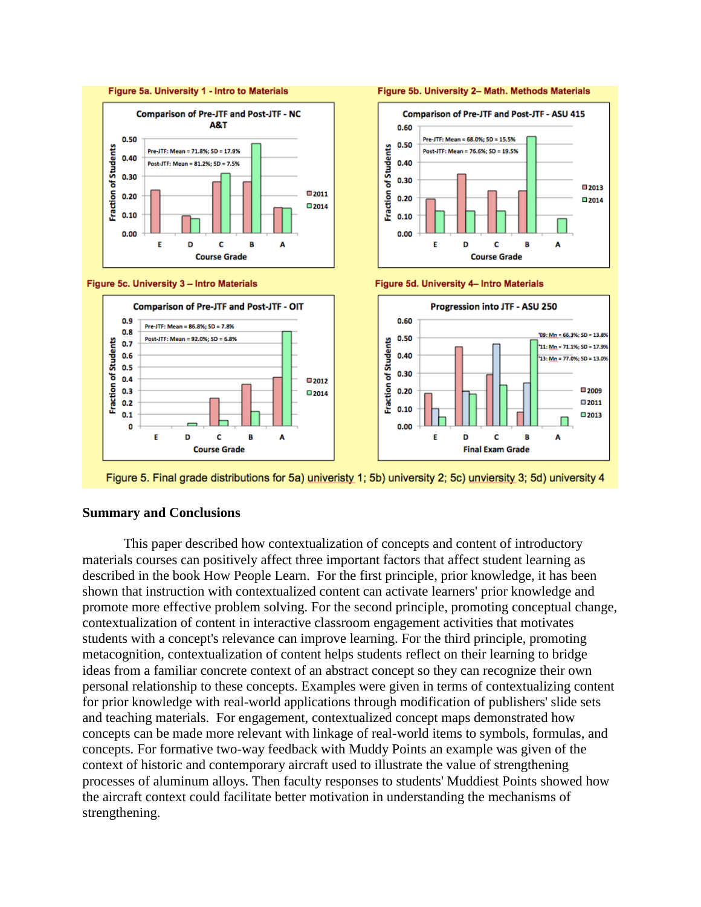

Figure 5. Final grade distributions for 5a) univeristy 1; 5b) university 2; 5c) unviersity 3; 5d) university 4

## **Summary and Conclusions**

This paper described how contextualization of concepts and content of introductory materials courses can positively affect three important factors that affect student learning as described in the book How People Learn. For the first principle, prior knowledge, it has been shown that instruction with contextualized content can activate learners' prior knowledge and promote more effective problem solving. For the second principle, promoting conceptual change, contextualization of content in interactive classroom engagement activities that motivates students with a concept's relevance can improve learning. For the third principle, promoting metacognition, contextualization of content helps students reflect on their learning to bridge ideas from a familiar concrete context of an abstract concept so they can recognize their own personal relationship to these concepts. Examples were given in terms of contextualizing content for prior knowledge with real-world applications through modification of publishers' slide sets and teaching materials. For engagement, contextualized concept maps demonstrated how concepts can be made more relevant with linkage of real-world items to symbols, formulas, and concepts. For formative two-way feedback with Muddy Points an example was given of the context of historic and contemporary aircraft used to illustrate the value of strengthening processes of aluminum alloys. Then faculty responses to students' Muddiest Points showed how the aircraft context could facilitate better motivation in understanding the mechanisms of strengthening.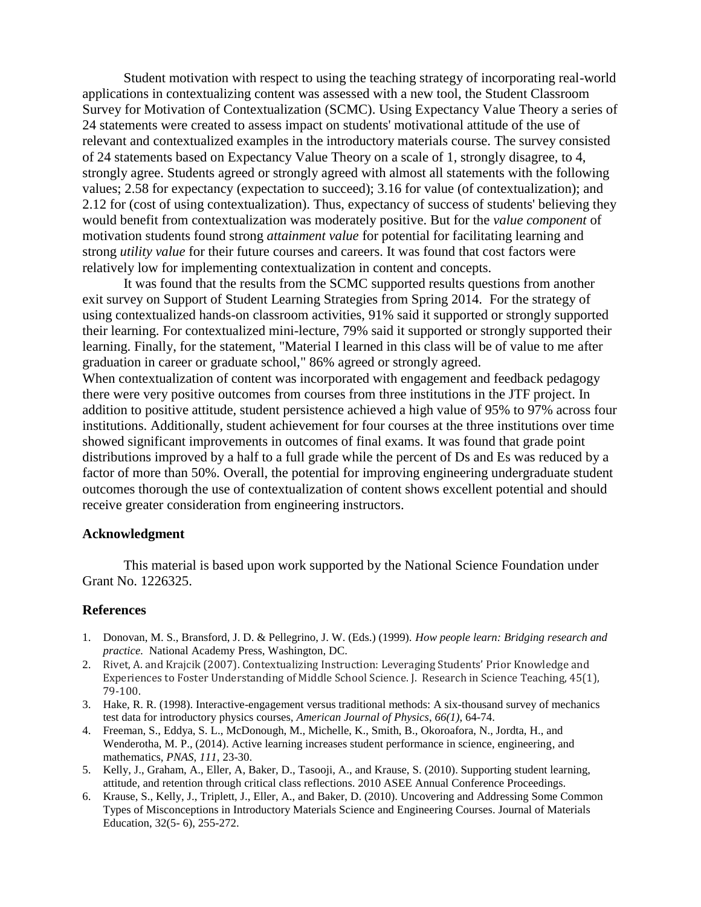Student motivation with respect to using the teaching strategy of incorporating real-world applications in contextualizing content was assessed with a new tool, the Student Classroom Survey for Motivation of Contextualization (SCMC). Using Expectancy Value Theory a series of 24 statements were created to assess impact on students' motivational attitude of the use of relevant and contextualized examples in the introductory materials course. The survey consisted of 24 statements based on Expectancy Value Theory on a scale of 1, strongly disagree, to 4, strongly agree. Students agreed or strongly agreed with almost all statements with the following values; 2.58 for expectancy (expectation to succeed); 3.16 for value (of contextualization); and 2.12 for (cost of using contextualization). Thus, expectancy of success of students' believing they would benefit from contextualization was moderately positive. But for the *value component* of motivation students found strong *attainment value* for potential for facilitating learning and strong *utility value* for their future courses and careers. It was found that cost factors were relatively low for implementing contextualization in content and concepts.

It was found that the results from the SCMC supported results questions from another exit survey on Support of Student Learning Strategies from Spring 2014. For the strategy of using contextualized hands-on classroom activities, 91% said it supported or strongly supported their learning. For contextualized mini-lecture, 79% said it supported or strongly supported their learning. Finally, for the statement, "Material I learned in this class will be of value to me after graduation in career or graduate school," 86% agreed or strongly agreed. When contextualization of content was incorporated with engagement and feedback pedagogy there were very positive outcomes from courses from three institutions in the JTF project. In

addition to positive attitude, student persistence achieved a high value of 95% to 97% across four institutions. Additionally, student achievement for four courses at the three institutions over time showed significant improvements in outcomes of final exams. It was found that grade point distributions improved by a half to a full grade while the percent of Ds and Es was reduced by a factor of more than 50%. Overall, the potential for improving engineering undergraduate student outcomes thorough the use of contextualization of content shows excellent potential and should receive greater consideration from engineering instructors.

### **Acknowledgment**

This material is based upon work supported by the National Science Foundation under Grant No. 1226325.

### **References**

- 1. Donovan, M. S., Bransford, J. D. & Pellegrino, J. W. (Eds.) (1999). *How people learn: Bridging research and practice.* National Academy Press, Washington, DC.
- 2. Rivet, A. and Krajcik (2007). Contextualizing Instruction: Leveraging Students' Prior Knowledge and Experiences to Foster Understanding of Middle School Science. J. Research in Science Teaching, 45(1), 79-100.
- 3. Hake, R. R. (1998). Interactive-engagement versus traditional methods: A six-thousand survey of mechanics test data for introductory physics courses, *American Journal of Physics*, *66(1)*, 64-74.
- 4. Freeman, S., Eddya, S. L., McDonough, M., Michelle, K., Smith, B., Okoroafora, N., Jordta, H., and Wenderotha, M. P., (2014). Active learning increases student performance in science, engineering, and mathematics, *PNAS*, *111,* 23-30.
- 5. Kelly, J., Graham, A., Eller, A, Baker, D., Tasooji, A., and Krause, S. (2010). Supporting student learning, attitude, and retention through critical class reflections. 2010 ASEE Annual Conference Proceedings.
- 6. Krause, S., Kelly, J., Triplett, J., Eller, A., and Baker, D. (2010). Uncovering and Addressing Some Common Types of Misconceptions in Introductory Materials Science and Engineering Courses. Journal of Materials Education, 32(5- 6), 255-272.